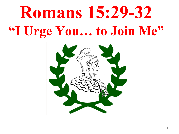## **Romans 15:29-32 "I Urge You… to Join Me"**

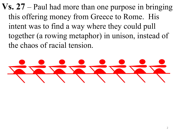**Vs. 27** – Paul had more than one purpose in bringing this offering money from Greece to Rome. His intent was to find a way where they could pull together (a rowing metaphor) in unison, instead of the chaos of racial tension.

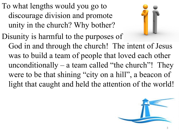To what lengths would you go to discourage division and promote unity in the church? Why bother?



Disunity is harmful to the purposes of God in and through the church! The intent of Jesus was to build a team of people that loved each other unconditionally – a team called "the church"! They were to be that shining "city on a hill", a beacon of light that caught and held the attention of the world!

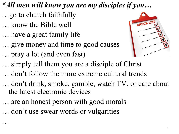- *"All men will know you are my disciples if you…*
- …go to church faithfully
- … know the Bible well

…

- … have a great family life
- … give money and time to good causes
- … pray a lot (and even fast)



- … simply tell them you are a disciple of Christ
- … don't follow the more extreme cultural trends
- … don't drink, smoke, gamble, watch TV, or care about the latest electronic devices
- … are an honest person with good morals
- … don't use swear words or vulgarities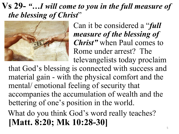## **Vs 29-** *"…I will come to you in the full measure of the blessing of Christ*"



Can it be considered a "*full measure of the blessing of Christ"* when Paul comes to Rome under arrest? The televangelists today proclaim

that God's blessing is connected with success and material gain - with the physical comfort and the mental/ emotional feeling of security that accompanies the accumulation of wealth and the bettering of one's position in the world.

 What do you think God's word really teaches? **[Matt. 8:20; Mk 10:28-30]**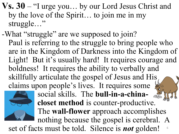- **Vs. 30**  "I urge you… by our Lord Jesus Christ and by the love of the Spirit… to join me in my struggle…"
- -What "struggle" are we supposed to join? Paul is referring to the struggle to bring people who are in the Kingdom of Darkness into the Kingdom of Light! But it's usually hard! It requires courage and boldness! It requires the ability to verbally and skillfully articulate the gospel of Jesus and His claims upon people's lives. It requires some



social skills. The **bull-in-a-chinacloset method** is counter-productive. The **wall-flower** approach accomplishes nothing because the gospel is cerebral. A

6 set of facts must be told. Silence is *not* golden!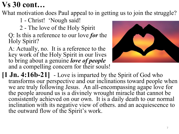## **Vs 30 cont…**

What motivation does Paul appeal to in getting us to join the struggle?

1 - Christ! 'Nough said!

2 - The love of the Holy Spirit

Q: Is this a reference to our love *for* the Holy Spirit?

A: Actually, no. It is a reference to the key work of the Holy Spirit in our lives to bring about a genuine *love of people*  and a compelling concern for their souls!



**[1 Jn. 4:16b-21]** - Love is imparted by the Spirit of God who transforms our perspective and our inclinations toward people when we are truly following Jesus. An all-encompassing agape love for the people around us is a divinely wrought miracle that cannot be consistently achieved on our own. It is a daily death to our normal inclination with its negative view of others. and an acquiescence to the outward flow of the Spirit's work.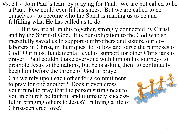Vs. 31 - Join Paul's team by praying for Paul. We are not called to be a Paul. Few could ever fill his shoes. But we are called to be ourselves - to become who the Spirit is making us to be and fulfilling what He has called us to do.

 But we are all in this together, strongly connected by Christ and by the Spirit of God. It is our obligation to the God who so mercifully saved us to support our brothers and sisters, our colaborers in Christ, in their quest to follow and serve the purposes of God! Our most fundamental level of support for other Christians is prayer. Paul couldn't take everyone with him on his journeys to promote Jesus to the nations, but he is asking them to continually keep him before the throne of God in prayer.

Can we rely upon each other for a commitment to pray for one another? Does it even cross your mind to pray that the person sitting next to you in church be faithful and ultimately successful in bringing others to Jesus? In living a life of Christ-centered love?

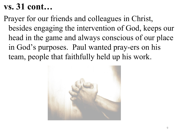## **vs. 31 cont…**

 Prayer for our friends and colleagues in Christ, besides engaging the intervention of God, keeps our head in the game and always conscious of our place in God's purposes. Paul wanted pray-ers on his team, people that faithfully held up his work.

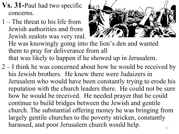- **Vs. 31-**Paul had two specific concerns.
- 1 The threat to his life from Jewish authorities and from Jewish zealots was very real.



- He was knowingly going into the lion's den and wanted them to pray for deliverance from all that was likely to happen if he showed up in Jerusalem.
- 2 I think he was concerned about how he would be received by his Jewish brothers. He knew there were Judaizers in Jerusalem who would have been constantly trying to erode his reputation with the church leaders there. He could not be sure how he would be received. He needed prayer that he could continue to build bridges between the Jewish and gentile church. The substantial offering money he was bringing from largely gentile churches to the poverty stricken, constantly harassed, and poor Jerusalem church would help.